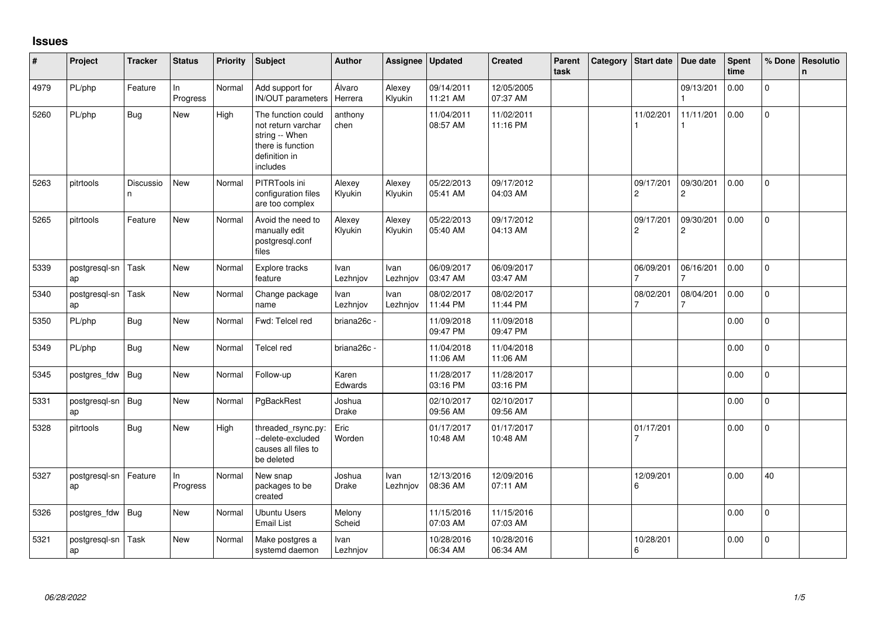## **Issues**

| #    | Project             | <b>Tracker</b> | <b>Status</b>  | <b>Priority</b> | Subject                                                                                                      | Author            | Assignee          | <b>Updated</b>         | <b>Created</b>         | Parent<br>task | Category | <b>Start date</b>           | Due date                    | Spent<br>time | % Done         | Resolutio<br>n. |
|------|---------------------|----------------|----------------|-----------------|--------------------------------------------------------------------------------------------------------------|-------------------|-------------------|------------------------|------------------------|----------------|----------|-----------------------------|-----------------------------|---------------|----------------|-----------------|
| 4979 | PL/php              | Feature        | In<br>Progress | Normal          | Add support for<br>IN/OUT parameters                                                                         | Álvaro<br>Herrera | Alexey<br>Klyukin | 09/14/2011<br>11:21 AM | 12/05/2005<br>07:37 AM |                |          |                             | 09/13/201                   | 0.00          | $\overline{0}$ |                 |
| 5260 | PL/php              | <b>Bug</b>     | <b>New</b>     | High            | The function could<br>not return varchar<br>string -- When<br>there is function<br>definition in<br>includes | anthony<br>chen   |                   | 11/04/2011<br>08:57 AM | 11/02/2011<br>11:16 PM |                |          | 11/02/201                   | 11/11/201                   | 0.00          | $\Omega$       |                 |
| 5263 | pitrtools           | Discussio<br>n | New            | Normal          | PITRTools ini<br>configuration files<br>are too complex                                                      | Alexey<br>Klyukin | Alexey<br>Klyukin | 05/22/2013<br>05:41 AM | 09/17/2012<br>04:03 AM |                |          | 09/17/201<br>$\overline{c}$ | 09/30/201<br>2              | 0.00          | $\mathbf 0$    |                 |
| 5265 | pitrtools           | Feature        | <b>New</b>     | Normal          | Avoid the need to<br>manually edit<br>postgresql.conf<br>files                                               | Alexey<br>Klyukin | Alexey<br>Klyukin | 05/22/2013<br>05:40 AM | 09/17/2012<br>04:13 AM |                |          | 09/17/201<br>$\overline{c}$ | 09/30/201<br>$\overline{c}$ | 0.00          | $\Omega$       |                 |
| 5339 | postgresql-sn<br>ap | Task           | <b>New</b>     | Normal          | Explore tracks<br>feature                                                                                    | Ivan<br>Lezhnjov  | Ivan<br>Lezhnjov  | 06/09/2017<br>03:47 AM | 06/09/2017<br>03:47 AM |                |          | 06/09/201                   | 06/16/201                   | 0.00          | $\mathbf{0}$   |                 |
| 5340 | postgresql-sn<br>ap | Task           | <b>New</b>     | Normal          | Change package<br>name                                                                                       | Ivan<br>Lezhnjov  | Ivan<br>Lezhnjov  | 08/02/2017<br>11:44 PM | 08/02/2017<br>11:44 PM |                |          | 08/02/201<br>$\overline{7}$ | 08/04/201<br>7              | 0.00          | $\mathbf 0$    |                 |
| 5350 | PL/php              | Bug            | <b>New</b>     | Normal          | Fwd: Telcel red                                                                                              | briana26c -       |                   | 11/09/2018<br>09:47 PM | 11/09/2018<br>09:47 PM |                |          |                             |                             | 0.00          | $\mathbf 0$    |                 |
| 5349 | PL/php              | Bug            | New            | Normal          | Telcel red                                                                                                   | briana26c -       |                   | 11/04/2018<br>11:06 AM | 11/04/2018<br>11:06 AM |                |          |                             |                             | 0.00          | $\mathbf{0}$   |                 |
| 5345 | postgres_fdw        | Bug            | <b>New</b>     | Normal          | Follow-up                                                                                                    | Karen<br>Edwards  |                   | 11/28/2017<br>03:16 PM | 11/28/2017<br>03:16 PM |                |          |                             |                             | 0.00          | $\mathbf 0$    |                 |
| 5331 | postgresql-sn<br>ap | Bug            | <b>New</b>     | Normal          | PgBackRest                                                                                                   | Joshua<br>Drake   |                   | 02/10/2017<br>09:56 AM | 02/10/2017<br>09:56 AM |                |          |                             |                             | 0.00          | 0              |                 |
| 5328 | pitrtools           | Bug            | New            | High            | threaded_rsync.py:<br>--delete-excluded<br>causes all files to<br>be deleted                                 | Eric<br>Worden    |                   | 01/17/2017<br>10:48 AM | 01/17/2017<br>10:48 AM |                |          | 01/17/201                   |                             | 0.00          | 0              |                 |
| 5327 | postgresgl-sn<br>ap | Feature        | In<br>Progress | Normal          | New snap<br>packages to be<br>created                                                                        | Joshua<br>Drake   | Ivan<br>Lezhnjov  | 12/13/2016<br>08:36 AM | 12/09/2016<br>07:11 AM |                |          | 12/09/201<br>6              |                             | 0.00          | 40             |                 |
| 5326 | postgres_fdw        | Bug            | <b>New</b>     | Normal          | <b>Ubuntu Users</b><br><b>Email List</b>                                                                     | Melony<br>Scheid  |                   | 11/15/2016<br>07:03 AM | 11/15/2016<br>07:03 AM |                |          |                             |                             | 0.00          | $\Omega$       |                 |
| 5321 | postgresql-sn<br>ap | Task           | <b>New</b>     | Normal          | Make postgres a<br>systemd daemon                                                                            | Ivan<br>Lezhnjov  |                   | 10/28/2016<br>06:34 AM | 10/28/2016<br>06:34 AM |                |          | 10/28/201<br>6              |                             | 0.00          | $\Omega$       |                 |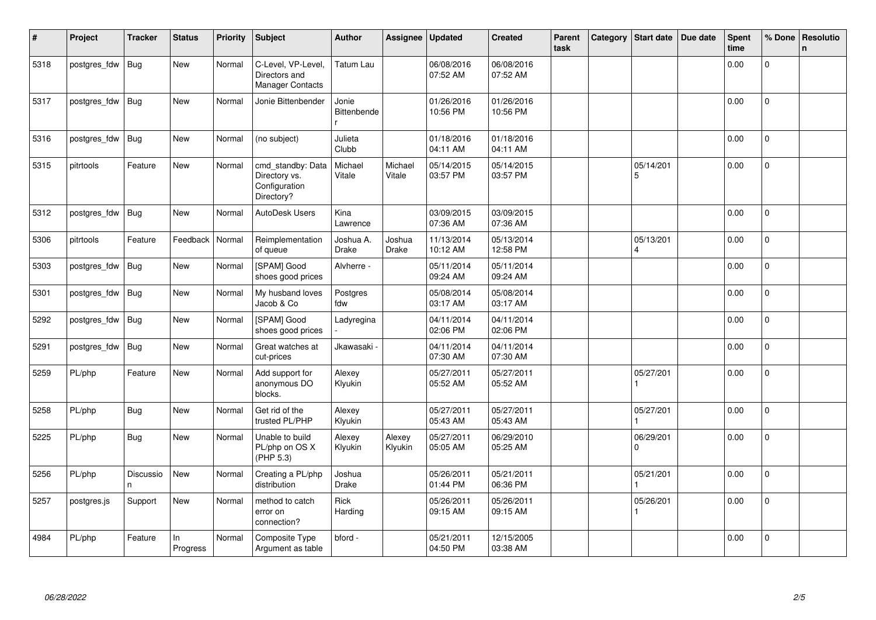| $\sharp$ | Project      | <b>Tracker</b> | <b>Status</b>  | <b>Priority</b> | <b>Subject</b>                                                    | <b>Author</b>               | Assignee          | <b>Updated</b>         | <b>Created</b>         | Parent<br>task | Category | <b>Start date</b>                    | Due date | <b>Spent</b><br>time | % Done         | <b>Resolutio</b><br>n. |
|----------|--------------|----------------|----------------|-----------------|-------------------------------------------------------------------|-----------------------------|-------------------|------------------------|------------------------|----------------|----------|--------------------------------------|----------|----------------------|----------------|------------------------|
| 5318     | postgres_fdw | <b>Bug</b>     | <b>New</b>     | Normal          | C-Level, VP-Level,<br>Directors and<br>Manager Contacts           | Tatum Lau                   |                   | 06/08/2016<br>07:52 AM | 06/08/2016<br>07:52 AM |                |          |                                      |          | 0.00                 | $\overline{0}$ |                        |
| 5317     | postgres_fdw | <b>Bug</b>     | <b>New</b>     | Normal          | Jonie Bittenbender                                                | Jonie<br><b>Bittenbende</b> |                   | 01/26/2016<br>10:56 PM | 01/26/2016<br>10:56 PM |                |          |                                      |          | 0.00                 | $\overline{0}$ |                        |
| 5316     | postgres_fdw | Bug            | <b>New</b>     | Normal          | (no subject)                                                      | Julieta<br>Clubb            |                   | 01/18/2016<br>04:11 AM | 01/18/2016<br>04:11 AM |                |          |                                      |          | 0.00                 | $\mathbf 0$    |                        |
| 5315     | pitrtools    | Feature        | <b>New</b>     | Normal          | cmd_standby: Data<br>Directory vs.<br>Configuration<br>Directory? | Michael<br>Vitale           | Michael<br>Vitale | 05/14/2015<br>03:57 PM | 05/14/2015<br>03:57 PM |                |          | 05/14/201<br>5                       |          | 0.00                 | $\mathbf{0}$   |                        |
| 5312     | postgres fdw | <b>Bug</b>     | <b>New</b>     | Normal          | AutoDesk Users                                                    | Kina<br>Lawrence            |                   | 03/09/2015<br>07:36 AM | 03/09/2015<br>07:36 AM |                |          |                                      |          | 0.00                 | $\overline{0}$ |                        |
| 5306     | pitrtools    | Feature        | Feedback       | Normal          | Reimplementation<br>of queue                                      | Joshua A.<br><b>Drake</b>   | Joshua<br>Drake   | 11/13/2014<br>10:12 AM | 05/13/2014<br>12:58 PM |                |          | 05/13/201<br>$\overline{\mathbf{A}}$ |          | 0.00                 | $\mathbf 0$    |                        |
| 5303     | postgres fdw | <b>Bug</b>     | New            | Normal          | [SPAM] Good<br>shoes good prices                                  | Alvherre -                  |                   | 05/11/2014<br>09:24 AM | 05/11/2014<br>09:24 AM |                |          |                                      |          | 0.00                 | $\mathbf 0$    |                        |
| 5301     | postgres_fdw | Bug            | New            | Normal          | My husband loves<br>Jacob & Co                                    | Postgres<br>fdw             |                   | 05/08/2014<br>03:17 AM | 05/08/2014<br>03:17 AM |                |          |                                      |          | 0.00                 | 0              |                        |
| 5292     | postgres_fdw | Bug            | New            | Normal          | [SPAM] Good<br>shoes good prices                                  | Ladyregina                  |                   | 04/11/2014<br>02:06 PM | 04/11/2014<br>02:06 PM |                |          |                                      |          | 0.00                 | $\Omega$       |                        |
| 5291     | postgres_fdw | Bug            | <b>New</b>     | Normal          | Great watches at<br>cut-prices                                    | Jkawasaki <sub>`</sub>      |                   | 04/11/2014<br>07:30 AM | 04/11/2014<br>07:30 AM |                |          |                                      |          | 0.00                 | $\overline{0}$ |                        |
| 5259     | PL/php       | Feature        | <b>New</b>     | Normal          | Add support for<br>anonymous DO<br>blocks.                        | Alexey<br>Klyukin           |                   | 05/27/2011<br>05:52 AM | 05/27/2011<br>05:52 AM |                |          | 05/27/201                            |          | 0.00                 | $\Omega$       |                        |
| 5258     | PL/php       | <b>Bug</b>     | <b>New</b>     | Normal          | Get rid of the<br>trusted PL/PHP                                  | Alexey<br>Klyukin           |                   | 05/27/2011<br>05:43 AM | 05/27/2011<br>05:43 AM |                |          | 05/27/201                            |          | 0.00                 | $\Omega$       |                        |
| 5225     | PL/php       | Bug            | New            | Normal          | Unable to build<br>PL/php on OS X<br>(PHP 5.3)                    | Alexey<br>Klyukin           | Alexey<br>Klyukin | 05/27/2011<br>05:05 AM | 06/29/2010<br>05:25 AM |                |          | 06/29/201<br>$\Omega$                |          | 0.00                 | 0              |                        |
| 5256     | PL/php       | Discussio      | New            | Normal          | Creating a PL/php<br>distribution                                 | Joshua<br><b>Drake</b>      |                   | 05/26/2011<br>01:44 PM | 05/21/2011<br>06:36 PM |                |          | 05/21/201                            |          | 0.00                 | $\Omega$       |                        |
| 5257     | postgres.js  | Support        | New            | Normal          | method to catch<br>error on<br>connection?                        | Rick<br>Harding             |                   | 05/26/2011<br>09:15 AM | 05/26/2011<br>09:15 AM |                |          | 05/26/201                            |          | 0.00                 | $\overline{0}$ |                        |
| 4984     | PL/php       | Feature        | In<br>Progress | Normal          | Composite Type<br>Argument as table                               | bford -                     |                   | 05/21/2011<br>04:50 PM | 12/15/2005<br>03:38 AM |                |          |                                      |          | 0.00                 | $\overline{0}$ |                        |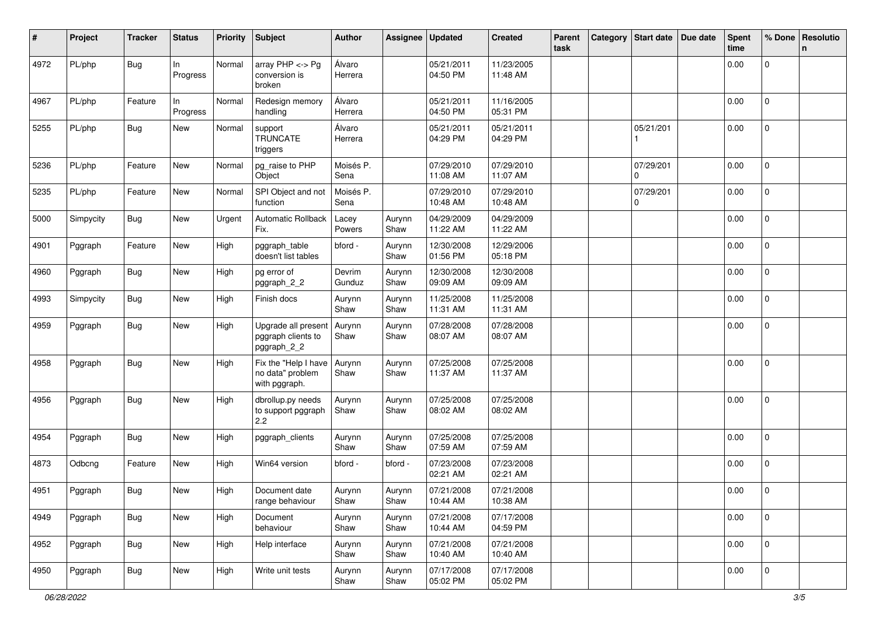| #    | Project   | <b>Tracker</b> | <b>Status</b>   | <b>Priority</b> | <b>Subject</b>                                            | <b>Author</b>     | Assignee       | <b>Updated</b>         | <b>Created</b>         | Parent<br>task | Category Start date   | Due date | <b>Spent</b><br>time | % Done              | Resolutio<br>n. |
|------|-----------|----------------|-----------------|-----------------|-----------------------------------------------------------|-------------------|----------------|------------------------|------------------------|----------------|-----------------------|----------|----------------------|---------------------|-----------------|
| 4972 | PL/php    | <b>Bug</b>     | In<br>Progress  | Normal          | array $PHP \lt\gt P$ g<br>conversion is<br>broken         | Álvaro<br>Herrera |                | 05/21/2011<br>04:50 PM | 11/23/2005<br>11:48 AM |                |                       |          | 0.00                 | 0                   |                 |
| 4967 | PL/php    | Feature        | In.<br>Progress | Normal          | Redesign memory<br>handling                               | Álvaro<br>Herrera |                | 05/21/2011<br>04:50 PM | 11/16/2005<br>05:31 PM |                |                       |          | 0.00                 | $\mathbf{0}$        |                 |
| 5255 | PL/php    | Bug            | New             | Normal          | support<br><b>TRUNCATE</b><br>triggers                    | Álvaro<br>Herrera |                | 05/21/2011<br>04:29 PM | 05/21/2011<br>04:29 PM |                | 05/21/201             |          | 0.00                 | $\mathbf{0}$        |                 |
| 5236 | PL/php    | Feature        | New             | Normal          | pg_raise to PHP<br>Object                                 | Moisés P.<br>Sena |                | 07/29/2010<br>11:08 AM | 07/29/2010<br>11:07 AM |                | 07/29/201<br>$\Omega$ |          | 0.00                 | $\mathbf{0}$        |                 |
| 5235 | PL/php    | Feature        | New             | Normal          | SPI Object and not<br>function                            | Moisés P.<br>Sena |                | 07/29/2010<br>10:48 AM | 07/29/2010<br>10:48 AM |                | 07/29/201<br>0        |          | 0.00                 | 0                   |                 |
| 5000 | Simpycity | Bug            | New             | Urgent          | Automatic Rollback<br>Fix.                                | Lacey<br>Powers   | Aurynn<br>Shaw | 04/29/2009<br>11:22 AM | 04/29/2009<br>11:22 AM |                |                       |          | 0.00                 | $\mathbf 0$         |                 |
| 4901 | Pggraph   | Feature        | New             | High            | pggraph_table<br>doesn't list tables                      | bford -           | Aurynn<br>Shaw | 12/30/2008<br>01:56 PM | 12/29/2006<br>05:18 PM |                |                       |          | 0.00                 | $\overline{0}$      |                 |
| 4960 | Pggraph   | Bug            | New             | High            | pg error of<br>pggraph_2_2                                | Devrim<br>Gunduz  | Aurynn<br>Shaw | 12/30/2008<br>09:09 AM | 12/30/2008<br>09:09 AM |                |                       |          | 0.00                 | $\overline{0}$      |                 |
| 4993 | Simpycity | <b>Bug</b>     | New             | High            | Finish docs                                               | Aurynn<br>Shaw    | Aurynn<br>Shaw | 11/25/2008<br>11:31 AM | 11/25/2008<br>11:31 AM |                |                       |          | 0.00                 | $\mathbf 0$         |                 |
| 4959 | Pggraph   | <b>Bug</b>     | New             | High            | Upgrade all present<br>pggraph clients to<br>pggraph_2_2  | Aurynn<br>Shaw    | Aurynn<br>Shaw | 07/28/2008<br>08:07 AM | 07/28/2008<br>08:07 AM |                |                       |          | 0.00                 | 0                   |                 |
| 4958 | Pggraph   | <b>Bug</b>     | New             | High            | Fix the "Help I have<br>no data" problem<br>with pggraph. | Aurynn<br>Shaw    | Aurynn<br>Shaw | 07/25/2008<br>11:37 AM | 07/25/2008<br>11:37 AM |                |                       |          | 0.00                 | $\mathbf 0$         |                 |
| 4956 | Pggraph   | <b>Bug</b>     | New             | High            | dbrollup.py needs<br>to support pggraph<br>2.2            | Aurynn<br>Shaw    | Aurynn<br>Shaw | 07/25/2008<br>08:02 AM | 07/25/2008<br>08:02 AM |                |                       |          | 0.00                 | $\mathbf 0$         |                 |
| 4954 | Pggraph   | <b>Bug</b>     | New             | High            | pggraph_clients                                           | Aurynn<br>Shaw    | Aurynn<br>Shaw | 07/25/2008<br>07:59 AM | 07/25/2008<br>07:59 AM |                |                       |          | 0.00                 | $\mathbf 0$         |                 |
| 4873 | Odbcng    | Feature        | New             | High            | Win64 version                                             | - bford           | bford -        | 07/23/2008<br>02:21 AM | 07/23/2008<br>02:21 AM |                |                       |          | 0.00                 | $\mathbf 0$         |                 |
| 4951 | Pggraph   | <b>Bug</b>     | New             | High            | Document date<br>range behaviour                          | Aurynn<br>Shaw    | Aurynn<br>Shaw | 07/21/2008<br>10:44 AM | 07/21/2008<br>10:38 AM |                |                       |          | 0.00                 | 0                   |                 |
| 4949 | Pggraph   | <b>Bug</b>     | New             | High            | Document<br>behaviour                                     | Aurynn<br>Shaw    | Aurynn<br>Shaw | 07/21/2008<br>10:44 AM | 07/17/2008<br>04:59 PM |                |                       |          | 0.00                 | $\mathbf 0$         |                 |
| 4952 | Pggraph   | <b>Bug</b>     | New             | High            | Help interface                                            | Aurynn<br>Shaw    | Aurynn<br>Shaw | 07/21/2008<br>10:40 AM | 07/21/2008<br>10:40 AM |                |                       |          | 0.00                 | $\mathsf{O}\xspace$ |                 |
| 4950 | Pggraph   | Bug            | New             | High            | Write unit tests                                          | Aurynn<br>Shaw    | Aurynn<br>Shaw | 07/17/2008<br>05:02 PM | 07/17/2008<br>05:02 PM |                |                       |          | 0.00                 | $\mathbf{0}$        |                 |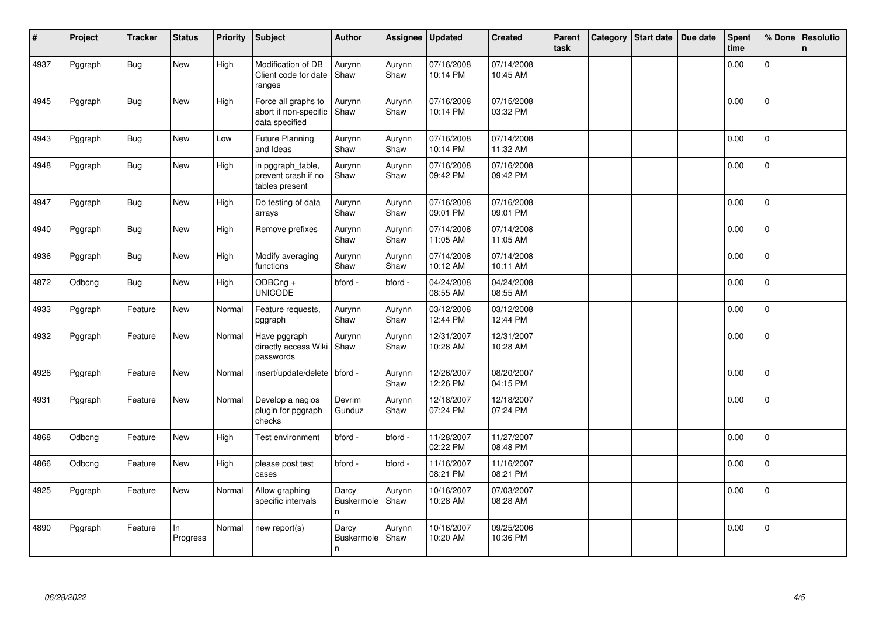| ∦    | Project | <b>Tracker</b> | <b>Status</b>  | <b>Priority</b> | <b>Subject</b>                                                 | <b>Author</b>             | Assignee       | <b>Updated</b>         | <b>Created</b>         | Parent<br>task | Category | <b>Start date</b> | Due date | <b>Spent</b><br>time | % Done         | <b>Resolutio</b><br>$\mathbf n$ |
|------|---------|----------------|----------------|-----------------|----------------------------------------------------------------|---------------------------|----------------|------------------------|------------------------|----------------|----------|-------------------|----------|----------------------|----------------|---------------------------------|
| 4937 | Pggraph | <b>Bug</b>     | <b>New</b>     | High            | Modification of DB<br>Client code for date<br>ranges           | Aurynn<br>Shaw            | Aurynn<br>Shaw | 07/16/2008<br>10:14 PM | 07/14/2008<br>10:45 AM |                |          |                   |          | 0.00                 | $\Omega$       |                                 |
| 4945 | Pggraph | <b>Bug</b>     | <b>New</b>     | High            | Force all graphs to<br>abort if non-specific<br>data specified | Aurynn<br>Shaw            | Aurynn<br>Shaw | 07/16/2008<br>10:14 PM | 07/15/2008<br>03:32 PM |                |          |                   |          | 0.00                 | $\overline{0}$ |                                 |
| 4943 | Pggraph | <b>Bug</b>     | <b>New</b>     | Low             | <b>Future Planning</b><br>and Ideas                            | Aurynn<br>Shaw            | Aurynn<br>Shaw | 07/16/2008<br>10:14 PM | 07/14/2008<br>11:32 AM |                |          |                   |          | 0.00                 | $\Omega$       |                                 |
| 4948 | Pggraph | <b>Bug</b>     | <b>New</b>     | High            | in pggraph_table,<br>prevent crash if no<br>tables present     | Aurynn<br>Shaw            | Aurynn<br>Shaw | 07/16/2008<br>09:42 PM | 07/16/2008<br>09:42 PM |                |          |                   |          | 0.00                 | $\overline{0}$ |                                 |
| 4947 | Pggraph | Bug            | <b>New</b>     | High            | Do testing of data<br>arrays                                   | Aurynn<br>Shaw            | Aurynn<br>Shaw | 07/16/2008<br>09:01 PM | 07/16/2008<br>09:01 PM |                |          |                   |          | 0.00                 | $\overline{0}$ |                                 |
| 4940 | Pggraph | <b>Bug</b>     | <b>New</b>     | High            | Remove prefixes                                                | Aurynn<br>Shaw            | Aurynn<br>Shaw | 07/14/2008<br>11:05 AM | 07/14/2008<br>11:05 AM |                |          |                   |          | 0.00                 | 0              |                                 |
| 4936 | Pggraph | <b>Bug</b>     | New            | High            | Modify averaging<br>functions                                  | Aurynn<br>Shaw            | Aurynn<br>Shaw | 07/14/2008<br>10:12 AM | 07/14/2008<br>10:11 AM |                |          |                   |          | 0.00                 | 0              |                                 |
| 4872 | Odbcng  | <b>Bug</b>     | New            | High            | $ODBCng +$<br><b>UNICODE</b>                                   | bford -                   | bford -        | 04/24/2008<br>08:55 AM | 04/24/2008<br>08:55 AM |                |          |                   |          | 0.00                 | $\overline{0}$ |                                 |
| 4933 | Pggraph | Feature        | New            | Normal          | Feature requests,<br>pggraph                                   | Aurynn<br>Shaw            | Aurynn<br>Shaw | 03/12/2008<br>12:44 PM | 03/12/2008<br>12:44 PM |                |          |                   |          | 0.00                 | $\Omega$       |                                 |
| 4932 | Pggraph | Feature        | <b>New</b>     | Normal          | Have pggraph<br>directly access Wiki<br>passwords              | Aurynn<br>Shaw            | Aurynn<br>Shaw | 12/31/2007<br>10:28 AM | 12/31/2007<br>10:28 AM |                |          |                   |          | 0.00                 | $\overline{0}$ |                                 |
| 4926 | Pggraph | Feature        | <b>New</b>     | Normal          | insert/update/delete                                           | bford -                   | Aurynn<br>Shaw | 12/26/2007<br>12:26 PM | 08/20/2007<br>04:15 PM |                |          |                   |          | 0.00                 | $\Omega$       |                                 |
| 4931 | Pggraph | Feature        | <b>New</b>     | Normal          | Develop a nagios<br>plugin for pggraph<br>checks               | Devrim<br>Gunduz          | Aurynn<br>Shaw | 12/18/2007<br>07:24 PM | 12/18/2007<br>07:24 PM |                |          |                   |          | 0.00                 | $\overline{0}$ |                                 |
| 4868 | Odbcng  | Feature        | <b>New</b>     | High            | Test environment                                               | bford -                   | bford -        | 11/28/2007<br>02:22 PM | 11/27/2007<br>08:48 PM |                |          |                   |          | 0.00                 | $\Omega$       |                                 |
| 4866 | Odbcng  | Feature        | New            | High            | please post test<br>cases                                      | bford -                   | bford -        | 11/16/2007<br>08:21 PM | 11/16/2007<br>08:21 PM |                |          |                   |          | 0.00                 | $\mathbf{0}$   |                                 |
| 4925 | Pggraph | Feature        | New            | Normal          | Allow graphing<br>specific intervals                           | Darcy<br>Buskermole<br>n. | Aurynn<br>Shaw | 10/16/2007<br>10:28 AM | 07/03/2007<br>08:28 AM |                |          |                   |          | 0.00                 | 0              |                                 |
| 4890 | Pggraph | Feature        | In<br>Progress | Normal          | new report(s)                                                  | Darcy<br>Buskermole<br>n  | Aurynn<br>Shaw | 10/16/2007<br>10:20 AM | 09/25/2006<br>10:36 PM |                |          |                   |          | 0.00                 | 0              |                                 |